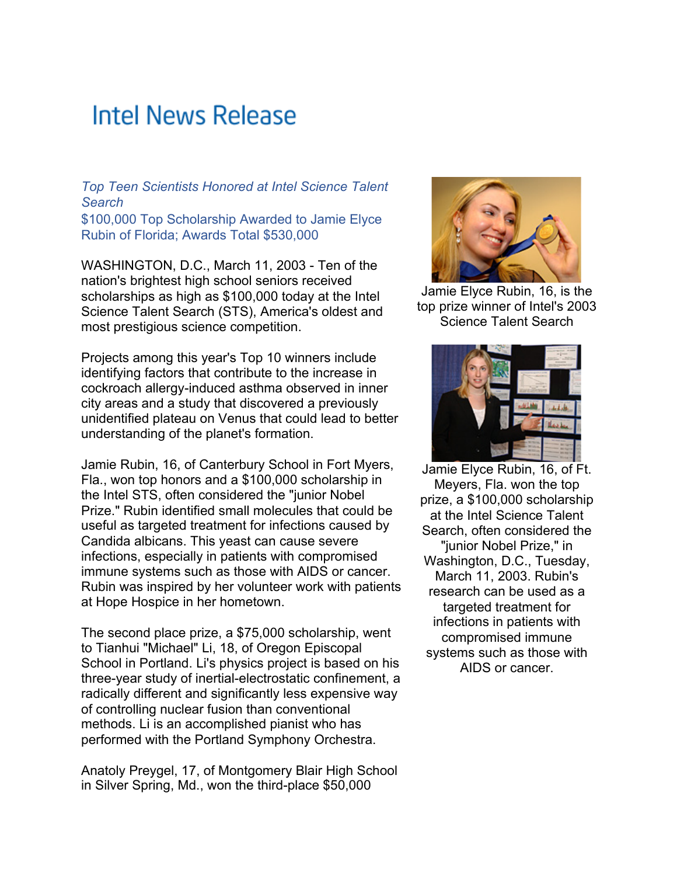## **Intel News Release**

*Top Teen Scientists Honored at Intel Science Talent Search* \$100,000 Top Scholarship Awarded to Jamie Elyce Rubin of Florida; Awards Total \$530,000

WASHINGTON, D.C., March 11, 2003 - Ten of the nation's brightest high school seniors received scholarships as high as \$100,000 today at the Intel Science Talent Search (STS), America's oldest and most prestigious science competition.

Projects among this year's Top 10 winners include identifying factors that contribute to the increase in cockroach allergy-induced asthma observed in inner city areas and a study that discovered a previously unidentified plateau on Venus that could lead to better understanding of the planet's formation.

Jamie Rubin, 16, of Canterbury School in Fort Myers, Fla., won top honors and a \$100,000 scholarship in the Intel STS, often considered the "junior Nobel Prize." Rubin identified small molecules that could be useful as targeted treatment for infections caused by Candida albicans. This yeast can cause severe infections, especially in patients with compromised immune systems such as those with AIDS or cancer. Rubin was inspired by her volunteer work with patients at Hope Hospice in her hometown.

The second place prize, a \$75,000 scholarship, went to Tianhui "Michael" Li, 18, of Oregon Episcopal School in Portland. Li's physics project is based on his three-year study of inertial-electrostatic confinement, a radically different and significantly less expensive way of controlling nuclear fusion than conventional methods. Li is an accomplished pianist who has performed with the Portland Symphony Orchestra.

Anatoly Preygel, 17, of Montgomery Blair High School in Silver Spring, Md., won the third-place \$50,000



Jamie Elyce Rubin, 16, is the top prize winner of Intel's 2003 Science Talent Search



Jamie Elyce Rubin, 16, of Ft. Meyers, Fla. won the top prize, a \$100,000 scholarship at the Intel Science Talent Search, often considered the "junior Nobel Prize," in Washington, D.C., Tuesday, March 11, 2003. Rubin's research can be used as a targeted treatment for infections in patients with compromised immune systems such as those with AIDS or cancer.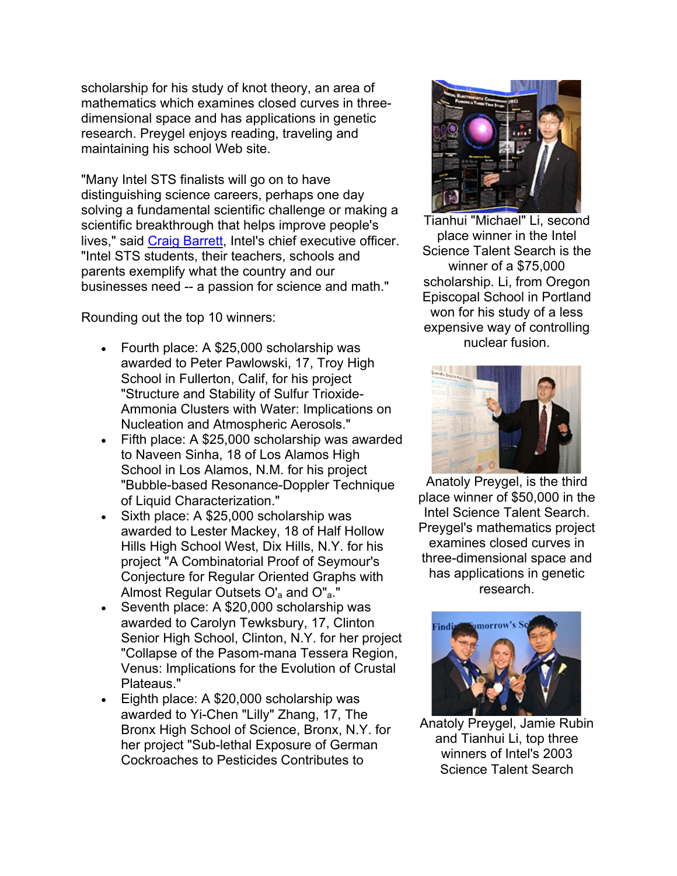scholarship for his study of knot theory, an area of mathematics which examines closed curves in threedimensional space and has applications in genetic research. Preygel enjoys reading, traveling and maintaining his school Web site.

"Many Intel STS finalists will go on to have distinguishing science careers, perhaps one day solving a fundamental scientific challenge or making a scientific breakthrough that helps improve people's lives," said Craig Barrett, Intel's chief executive officer. "Intel STS students, their teachers, schools and parents exemplify what the country and our businesses need -- a passion for science and math."

Rounding out the top 10 winners:

- Fourth place: A \$25,000 scholarship was awarded to Peter Pawlowski, 17, Troy High School in Fullerton, Calif, for his project "Structure and Stability of Sulfur Trioxide-Ammonia Clusters with Water: Implications on Nucleation and Atmospheric Aerosols."
- Fifth place: A \$25,000 scholarship was awarded to Naveen Sinha, 18 of Los Alamos High School in Los Alamos, N.M. for his project "Bubble-based Resonance-Doppler Technique of Liquid Characterization."
- Sixth place: A \$25,000 scholarship was awarded to Lester Mackey, 18 of Half Hollow Hills High School West, Dix Hills, N.Y. for his project "A Combinatorial Proof of Seymour's Conjecture for Regular Oriented Graphs with Almost Regular Outsets O'<sub>a</sub> and O"<sub>a</sub>."
- Seventh place: A \$20,000 scholarship was awarded to Carolyn Tewksbury, 17, Clinton Senior High School, Clinton, N.Y. for her project "Collapse of the Pasom-mana Tessera Region, Venus: Implications for the Evolution of Crustal Plateaus."
- Eighth place: A \$20,000 scholarship was awarded to Yi-Chen "Lilly" Zhang, 17, The Bronx High School of Science, Bronx, N.Y. for her project "Sub-lethal Exposure of German Cockroaches to Pesticides Contributes to



Tianhui "Michael" Li, second place winner in the Intel Science Talent Search is the winner of a \$75,000 scholarship. Li, from Oregon Episcopal School in Portland won for his study of a less expensive way of controlling nuclear fusion.



Anatoly Preygel, is the third place winner of \$50,000 in the Intel Science Talent Search. Preygel's mathematics project examines closed curves in three-dimensional space and has applications in genetic research.



Anatoly Preygel, Jamie Rubin and Tianhui Li, top three winners of Intel's 2003 Science Talent Search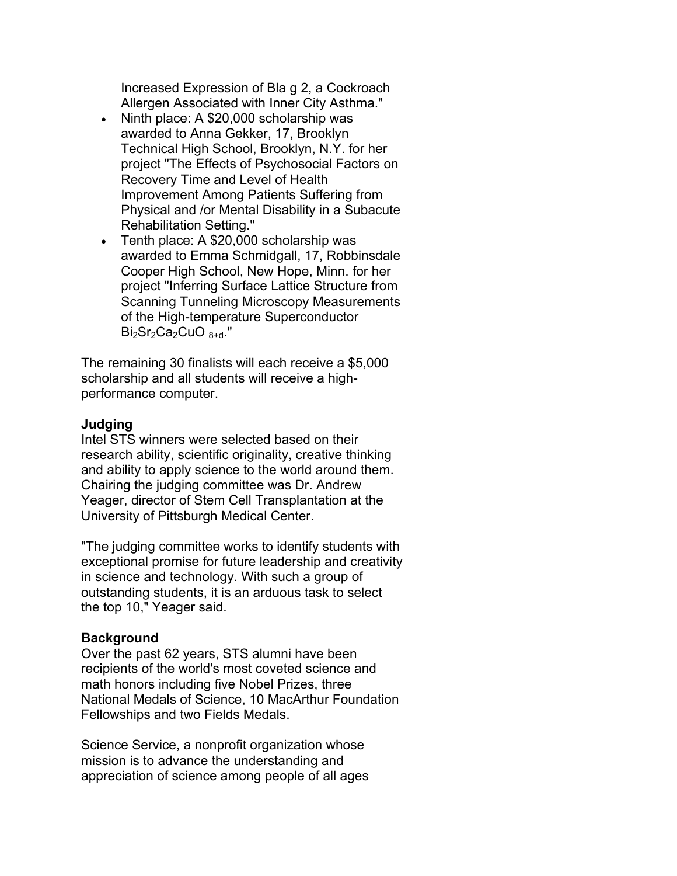Increased Expression of Bla g 2, a Cockroach Allergen Associated with Inner City Asthma."

- Ninth place: A \$20,000 scholarship was awarded to Anna Gekker, 17, Brooklyn Technical High School, Brooklyn, N.Y. for her project "The Effects of Psychosocial Factors on Recovery Time and Level of Health Improvement Among Patients Suffering from Physical and /or Mental Disability in a Subacute Rehabilitation Setting."
- Tenth place: A \$20,000 scholarship was awarded to Emma Schmidgall, 17, Robbinsdale Cooper High School, New Hope, Minn. for her project "Inferring Surface Lattice Structure from Scanning Tunneling Microscopy Measurements of the High-temperature Superconductor  $Bi<sub>2</sub>Sr<sub>2</sub>Ca<sub>2</sub>CuO<sub>8+d</sub>."$

The remaining 30 finalists will each receive a \$5,000 scholarship and all students will receive a highperformance computer.

## **Judging**

Intel STS winners were selected based on their research ability, scientific originality, creative thinking and ability to apply science to the world around them. Chairing the judging committee was Dr. Andrew Yeager, director of Stem Cell Transplantation at the University of Pittsburgh Medical Center.

"The judging committee works to identify students with exceptional promise for future leadership and creativity in science and technology. With such a group of outstanding students, it is an arduous task to select the top 10," Yeager said.

## **Background**

Over the past 62 years, STS alumni have been recipients of the world's most coveted science and math honors including five Nobel Prizes, three National Medals of Science, 10 MacArthur Foundation Fellowships and two Fields Medals.

Science Service, a nonprofit organization whose mission is to advance the understanding and appreciation of science among people of all ages